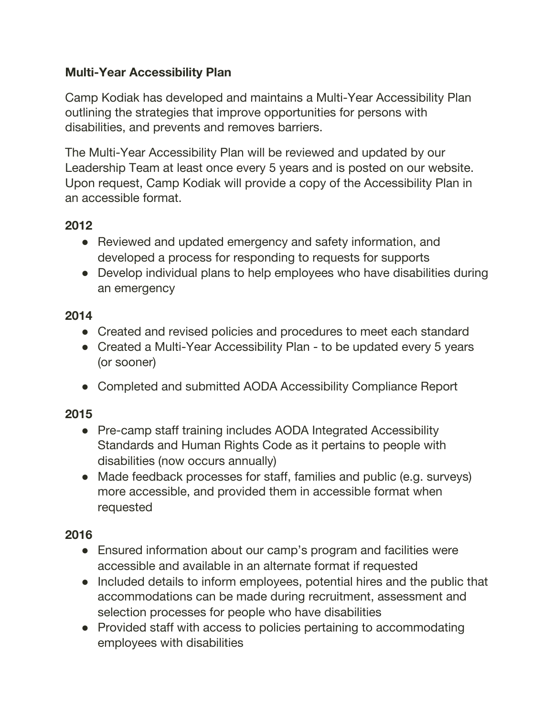# **Multi-Year Accessibility Plan**

Camp Kodiak has developed and maintains a Multi-Year Accessibility Plan outlining the strategies that improve opportunities for persons with disabilities, and prevents and removes barriers.

The Multi-Year Accessibility Plan will be reviewed and updated by our Leadership Team at least once every 5 years and is posted on our website. Upon request, Camp Kodiak will provide a copy of the Accessibility Plan in an accessible format.

# **2012**

- Reviewed and updated emergency and safety information, and developed a process for responding to requests for supports
- Develop individual plans to help employees who have disabilities during an emergency

### **2014**

- Created and revised policies and procedures to meet each standard
- Created a Multi-Year Accessibility Plan to be updated every 5 years (or sooner)
- Completed and submitted AODA Accessibility Compliance Report

## **2015**

- Pre-camp staff training includes AODA Integrated Accessibility Standards and Human Rights Code as it pertains to people with disabilities (now occurs annually)
- Made feedback processes for staff, families and public (e.g. surveys) more accessible, and provided them in accessible format when requested

## **2016**

- Ensured information about our camp's program and facilities were accessible and available in an alternate format if requested
- Included details to inform employees, potential hires and the public that accommodations can be made during recruitment, assessment and selection processes for people who have disabilities
- Provided staff with access to policies pertaining to accommodating employees with disabilities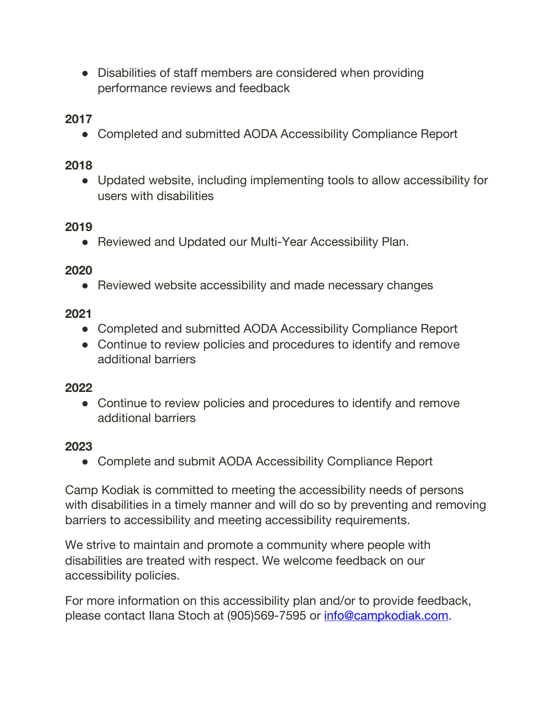• Disabilities of staff members are considered when providing performance reviews and feedback

**2017**

• Completed and submitted AODA Accessibility Compliance Report

## **2018**

● Updated website, including implementing tools to allow accessibility for users with disabilities

### **2019**

● Reviewed and Updated our Multi-Year Accessibility Plan.

#### **2020**

• Reviewed website accessibility and made necessary changes

### **2021**

- Completed and submitted AODA Accessibility Compliance Report
- Continue to review policies and procedures to identify and remove additional barriers

#### **2022**

• Continue to review policies and procedures to identify and remove additional barriers

#### **2023**

• Complete and submit AODA Accessibility Compliance Report

Camp Kodiak is committed to meeting the accessibility needs of persons with disabilities in a timely manner and will do so by preventing and removing barriers to accessibility and meeting accessibility requirements.

We strive to maintain and promote a community where people with disabilities are treated with respect. We welcome feedback on our accessibility policies.

For more information on this accessibility plan and/or to provide feedback, please contact Ilana Stoch at (905)569-7595 or [info@campkodiak.com.](mailto:info@campkodiak.com)